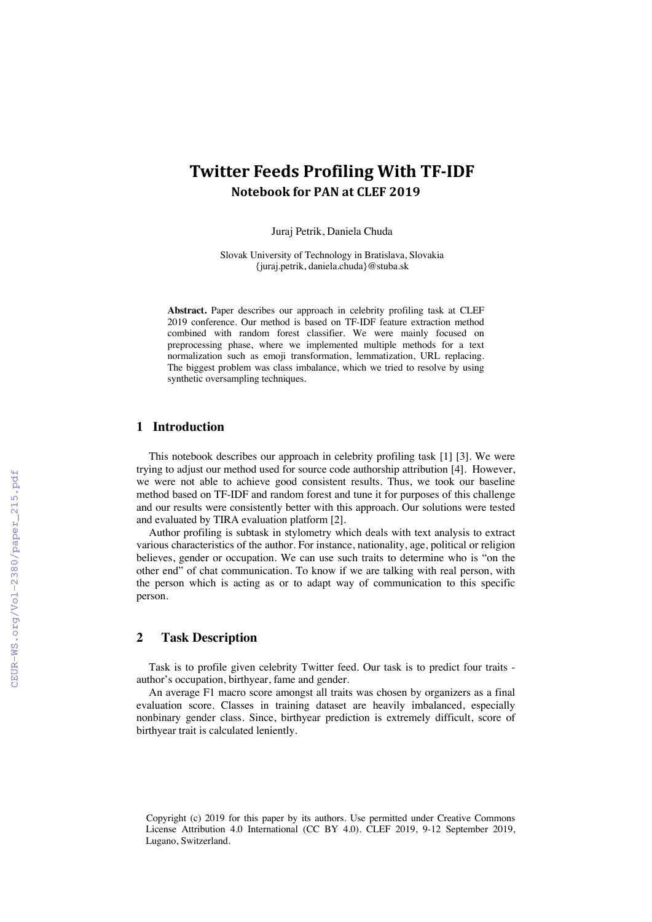# **Twitter Feeds Profiling With TF-IDF Notebook for PAN at CLEF 2019**

Juraj Petrik, Daniela Chuda

Slovak University of Technology in Bratislava, Slovakia {juraj.petrik, daniela.chuda}@stuba.sk

**Abstract.** Paper describes our approach in celebrity profiling task at CLEF 2019 conference. Our method is based on TF-IDF feature extraction method combined with random forest classifier. We were mainly focused on preprocessing phase, where we implemented multiple methods for a text normalization such as emoji transformation, lemmatization, URL replacing. The biggest problem was class imbalance, which we tried to resolve by using synthetic oversampling techniques.

### **1 Introduction**

This notebook describes our approach in celebrity profiling task [1] [3]. We were trying to adjust our method used for source code authorship attribution [4]. However, we were not able to achieve good consistent results. Thus, we took our baseline method based on TF-IDF and random forest and tune it for purposes of this challenge and our results were consistently better with this approach. Our solutions were tested and evaluated by TIRA evaluation platform [2].

Author profiling is subtask in stylometry which deals with text analysis to extract various characteristics of the author. For instance, nationality, age, political or religion believes, gender or occupation. We can use such traits to determine who is "on the other end" of chat communication. To know if we are talking with real person, with the person which is acting as or to adapt way of communication to this specific person.

# **2 Task Description**

Task is to profile given celebrity Twitter feed. Our task is to predict four traits author's occupation, birthyear, fame and gender.

An average F1 macro score amongst all traits was chosen by organizers as a final evaluation score. Classes in training dataset are heavily imbalanced, especially nonbinary gender class. Since, birthyear prediction is extremely difficult, score of birthyear trait is calculated leniently.

 Copyright (c) 2019 for this paper by its authors. Use permitted under Creative Commons License Attribution 4.0 International (CC BY 4.0). CLEF 2019, 9-12 September 2019, Lugano, Switzerland.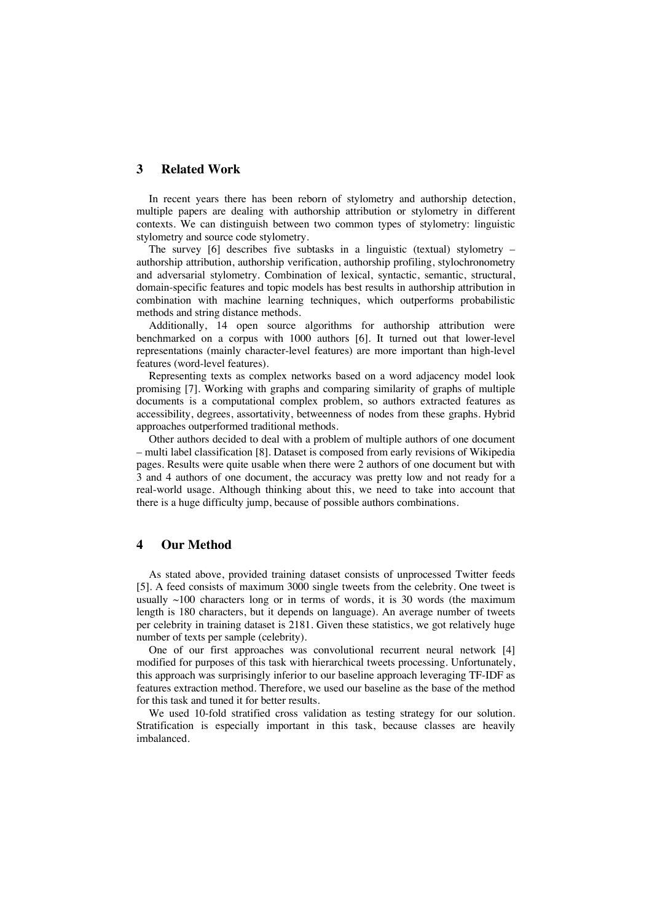# **3 Related Work**

In recent years there has been reborn of stylometry and authorship detection, multiple papers are dealing with authorship attribution or stylometry in different contexts. We can distinguish between two common types of stylometry: linguistic stylometry and source code stylometry.

The survey [6] describes five subtasks in a linguistic (textual) stylometry – authorship attribution, authorship verification, authorship profiling, stylochronometry and adversarial stylometry. Combination of lexical, syntactic, semantic, structural, domain-specific features and topic models has best results in authorship attribution in combination with machine learning techniques, which outperforms probabilistic methods and string distance methods.

Additionally, 14 open source algorithms for authorship attribution were benchmarked on a corpus with 1000 authors [6]. It turned out that lower-level representations (mainly character-level features) are more important than high-level features (word-level features).

Representing texts as complex networks based on a word adjacency model look promising [7]. Working with graphs and comparing similarity of graphs of multiple documents is a computational complex problem, so authors extracted features as accessibility, degrees, assortativity, betweenness of nodes from these graphs. Hybrid approaches outperformed traditional methods.

Other authors decided to deal with a problem of multiple authors of one document – multi label classification [8]. Dataset is composed from early revisions of Wikipedia pages. Results were quite usable when there were 2 authors of one document but with 3 and 4 authors of one document, the accuracy was pretty low and not ready for a real-world usage. Although thinking about this, we need to take into account that there is a huge difficulty jump, because of possible authors combinations.

### **4 Our Method**

As stated above, provided training dataset consists of unprocessed Twitter feeds [5]. A feed consists of maximum 3000 single tweets from the celebrity. One tweet is usually  $\sim$ 100 characters long or in terms of words, it is 30 words (the maximum length is 180 characters, but it depends on language). An average number of tweets per celebrity in training dataset is 2181. Given these statistics, we got relatively huge number of texts per sample (celebrity).

One of our first approaches was convolutional recurrent neural network [4] modified for purposes of this task with hierarchical tweets processing. Unfortunately, this approach was surprisingly inferior to our baseline approach leveraging TF-IDF as features extraction method. Therefore, we used our baseline as the base of the method for this task and tuned it for better results.

We used 10-fold stratified cross validation as testing strategy for our solution. Stratification is especially important in this task, because classes are heavily imbalanced.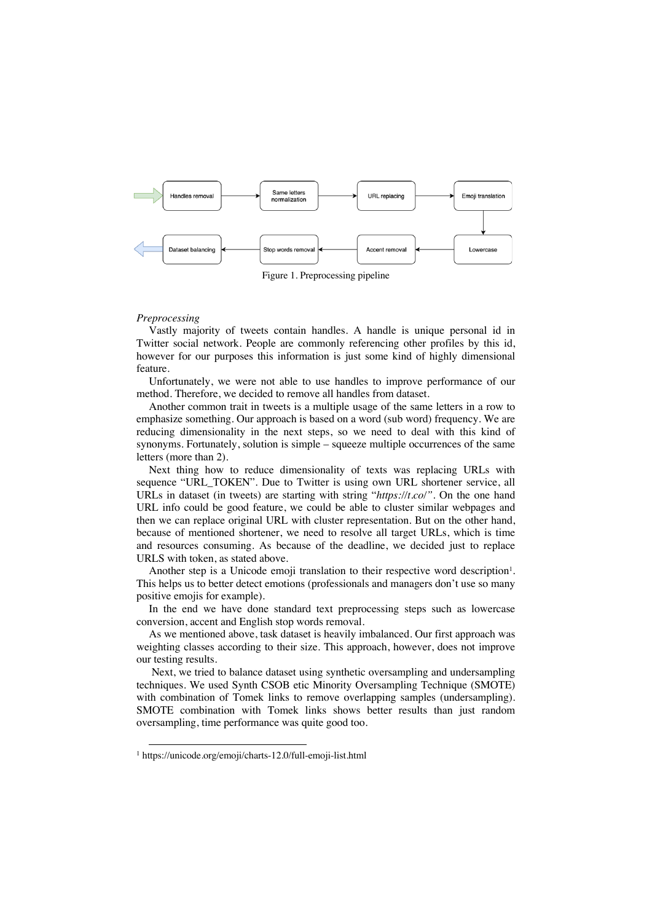

Figure 1. Preprocessing pipeline

#### *Preprocessing*

Vastly majority of tweets contain handles. A handle is unique personal id in Twitter social network. People are commonly referencing other profiles by this id, however for our purposes this information is just some kind of highly dimensional feature.

Unfortunately, we were not able to use handles to improve performance of our method. Therefore, we decided to remove all handles from dataset.

Another common trait in tweets is a multiple usage of the same letters in a row to emphasize something. Our approach is based on a word (sub word) frequency. We are reducing dimensionality in the next steps, so we need to deal with this kind of synonyms. Fortunately, solution is simple – squeeze multiple occurrences of the same letters (more than 2).

Next thing how to reduce dimensionality of texts was replacing URLs with sequence "URL\_TOKEN". Due to Twitter is using own URL shortener service, all URLs in dataset (in tweets) are starting with string "*https://t.co/"*. On the one hand URL info could be good feature, we could be able to cluster similar webpages and then we can replace original URL with cluster representation. But on the other hand, because of mentioned shortener, we need to resolve all target URLs, which is time and resources consuming. As because of the deadline, we decided just to replace URLS with token, as stated above.

Another step is a Unicode emoji translation to their respective word description<sup>1</sup>. This helps us to better detect emotions (professionals and managers don't use so many positive emojis for example).

In the end we have done standard text preprocessing steps such as lowercase conversion, accent and English stop words removal.

As we mentioned above, task dataset is heavily imbalanced. Our first approach was weighting classes according to their size. This approach, however, does not improve our testing results.

Next, we tried to balance dataset using synthetic oversampling and undersampling techniques. We used Synth CSOB etic Minority Oversampling Technique (SMOTE) with combination of Tomek links to remove overlapping samples (undersampling). SMOTE combination with Tomek links shows better results than just random oversampling, time performance was quite good too.

 <sup>1</sup> https://unicode.org/emoji/charts-12.0/full-emoji-list.html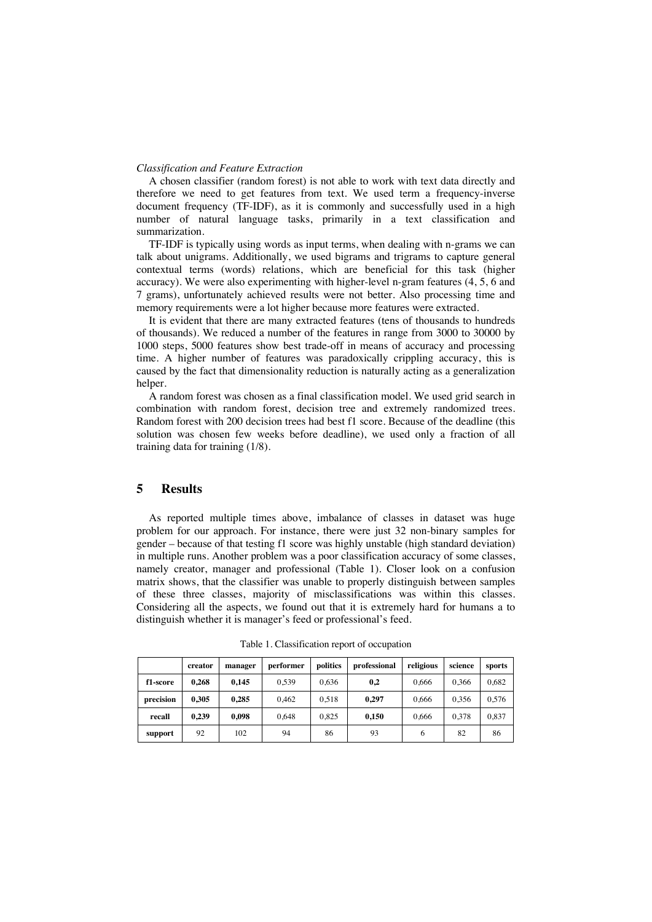#### *Classification and Feature Extraction*

A chosen classifier (random forest) is not able to work with text data directly and therefore we need to get features from text. We used term a frequency-inverse document frequency (TF-IDF), as it is commonly and successfully used in a high number of natural language tasks, primarily in a text classification and summarization.

TF-IDF is typically using words as input terms, when dealing with n-grams we can talk about unigrams. Additionally, we used bigrams and trigrams to capture general contextual terms (words) relations, which are beneficial for this task (higher accuracy). We were also experimenting with higher-level n-gram features (4, 5, 6 and 7 grams), unfortunately achieved results were not better. Also processing time and memory requirements were a lot higher because more features were extracted.

It is evident that there are many extracted features (tens of thousands to hundreds of thousands). We reduced a number of the features in range from 3000 to 30000 by 1000 steps, 5000 features show best trade-off in means of accuracy and processing time. A higher number of features was paradoxically crippling accuracy, this is caused by the fact that dimensionality reduction is naturally acting as a generalization helper.

A random forest was chosen as a final classification model. We used grid search in combination with random forest, decision tree and extremely randomized trees. Random forest with 200 decision trees had best f1 score. Because of the deadline (this solution was chosen few weeks before deadline), we used only a fraction of all training data for training (1/8).

# **5 Results**

As reported multiple times above, imbalance of classes in dataset was huge problem for our approach. For instance, there were just 32 non-binary samples for gender – because of that testing f1 score was highly unstable (high standard deviation) in multiple runs. Another problem was a poor classification accuracy of some classes, namely creator, manager and professional (Table 1). Closer look on a confusion matrix shows, that the classifier was unable to properly distinguish between samples of these three classes, majority of misclassifications was within this classes. Considering all the aspects, we found out that it is extremely hard for humans a to distinguish whether it is manager's feed or professional's feed.

|           | creator | manager | performer | politics | professional | religious | science | sports |
|-----------|---------|---------|-----------|----------|--------------|-----------|---------|--------|
| f1-score  | 0.268   | 0.145   | 0.539     | 0.636    | 0.2          | 0.666     | 0.366   | 0.682  |
| precision | 0.305   | 0.285   | 0.462     | 0.518    | 0.297        | 0.666     | 0.356   | 0.576  |
| recall    | 0.239   | 0.098   | 0.648     | 0.825    | 0.150        | 0.666     | 0.378   | 0.837  |
| support   | 92      | 102     | 94        | 86       | 93           | 6         | 82      | 86     |

Table 1. Classification report of occupation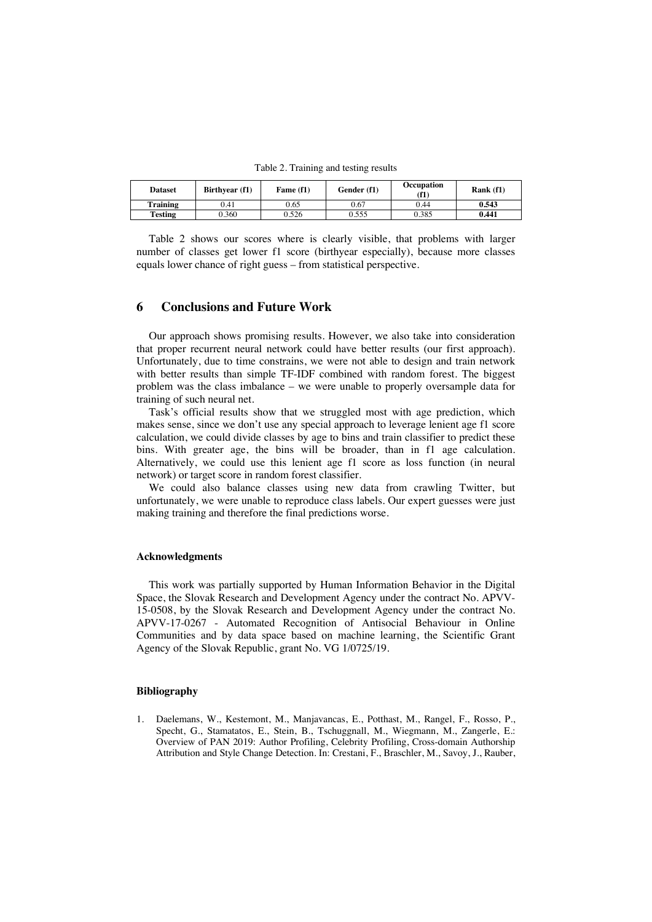Table 2. Training and testing results

| <b>Dataset</b> | Birthyear (f1) | Fame (f1) | Gender (f1) | Occupation<br>(f1) | Rank $(f1)$ |
|----------------|----------------|-----------|-------------|--------------------|-------------|
| Training       | 0.41           | 0.65      | 0.67        | 0.44               | 0.543       |
| Testing        | J.360          | 0.526     | 0.555       | 0.385              | 0.441       |

Table 2 shows our scores where is clearly visible, that problems with larger number of classes get lower f1 score (birthyear especially), because more classes equals lower chance of right guess – from statistical perspective.

### **6 Conclusions and Future Work**

Our approach shows promising results. However, we also take into consideration that proper recurrent neural network could have better results (our first approach). Unfortunately, due to time constrains, we were not able to design and train network with better results than simple TF-IDF combined with random forest. The biggest problem was the class imbalance – we were unable to properly oversample data for training of such neural net.

Task's official results show that we struggled most with age prediction, which makes sense, since we don't use any special approach to leverage lenient age f1 score calculation, we could divide classes by age to bins and train classifier to predict these bins. With greater age, the bins will be broader, than in f1 age calculation. Alternatively, we could use this lenient age f1 score as loss function (in neural network) or target score in random forest classifier.

We could also balance classes using new data from crawling Twitter, but unfortunately, we were unable to reproduce class labels. Our expert guesses were just making training and therefore the final predictions worse.

#### **Acknowledgments**

This work was partially supported by Human Information Behavior in the Digital Space, the Slovak Research and Development Agency under the contract No. APVV-15-0508, by the Slovak Research and Development Agency under the contract No. APVV-17-0267 - Automated Recognition of Antisocial Behaviour in Online Communities and by data space based on machine learning, the Scientific Grant Agency of the Slovak Republic, grant No. VG 1/0725/19.

### **Bibliography**

1. Daelemans, W., Kestemont, M., Manjavancas, E., Potthast, M., Rangel, F., Rosso, P., Specht, G., Stamatatos, E., Stein, B., Tschuggnall, M., Wiegmann, M., Zangerle, E.: Overview of PAN 2019: Author Profiling, Celebrity Profiling, Cross-domain Authorship Attribution and Style Change Detection. In: Crestani, F., Braschler, M., Savoy, J., Rauber,